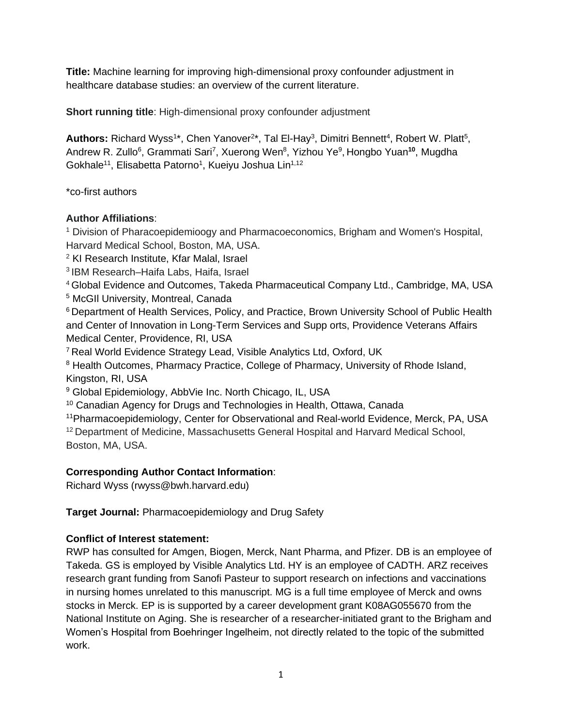**Title:** Machine learning for improving high-dimensional proxy confounder adjustment in healthcare database studies: an overview of the current literature.

**Short running title**: High-dimensional proxy confounder adjustment

Authors: Richard Wyss<sup>1\*</sup>, Chen Yanover<sup>2\*</sup>, Tal El-Hay<sup>3</sup>, Dimitri Bennett<sup>4</sup>, Robert W. Platt<sup>5</sup>, Andrew R. Zullo<sup>6</sup>, Grammati Sari<sup>7</sup>, Xuerong Wen<sup>8</sup>, Yizhou Ye<sup>9</sup>, Hongbo Yuan<sup>10</sup>, Mugdha Gokhale<sup>11</sup>, Elisabetta Patorno<sup>1</sup>, Kueiyu Joshua Lin<sup>1,12</sup>

\*co-first authors

# **Author Affiliations**:

<sup>1</sup> Division of Pharacoepidemioogy and Pharmacoeconomics, Brigham and Women's Hospital, Harvard Medical School, Boston, MA, USA.

<sup>2</sup> KI Research Institute, Kfar Malal, Israel

3 IBM Research–Haifa Labs, Haifa, Israel

<sup>4</sup> Global Evidence and Outcomes, Takeda Pharmaceutical Company Ltd., Cambridge, MA, USA

<sup>5</sup> McGIl University, Montreal, Canada

<sup>6</sup> Department of Health Services, Policy, and Practice, Brown University School of Public Health and Center of Innovation in Long-Term Services and Supp orts, Providence Veterans Affairs Medical Center, Providence, RI, USA

<sup>7</sup>Real World Evidence Strategy Lead, Visible Analytics Ltd, Oxford, UK

<sup>8</sup> Health Outcomes, Pharmacy Practice, College of Pharmacy, University of Rhode Island, Kingston, RI, USA

9 Global Epidemiology, AbbVie Inc. North Chicago, IL, USA

<sup>10</sup> Canadian Agency for Drugs and Technologies in Health, Ottawa, Canada

<sup>11</sup>Pharmacoepidemiology, Center for Observational and Real-world Evidence, Merck, PA, USA

<sup>12</sup> Department of Medicine, Massachusetts General Hospital and Harvard Medical School, Boston, MA, USA.

# **Corresponding Author Contact Information**:

Richard Wyss (rwyss@bwh.harvard.edu)

**Target Journal:** Pharmacoepidemiology and Drug Safety

# **Conflict of Interest statement:**

RWP has consulted for Amgen, Biogen, Merck, Nant Pharma, and Pfizer. DB is an employee of Takeda. GS is employed by Visible Analytics Ltd. HY is an employee of CADTH. ARZ receives research grant funding from Sanofi Pasteur to support research on infections and vaccinations in nursing homes unrelated to this manuscript. MG is a full time employee of Merck and owns stocks in Merck. EP is is supported by a career development grant K08AG055670 from the National Institute on Aging. She is researcher of a researcher-initiated grant to the Brigham and Women's Hospital from Boehringer Ingelheim, not directly related to the topic of the submitted work.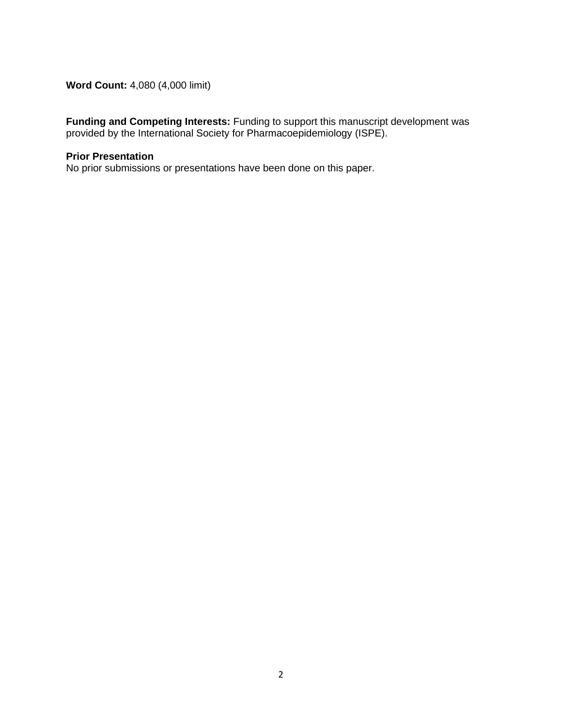**Word Count:** 4,080 (4,000 limit)

**Funding and Competing Interests:** Funding to support this manuscript development was provided by the International Society for Pharmacoepidemiology (ISPE).

# **Prior Presentation**

No prior submissions or presentations have been done on this paper.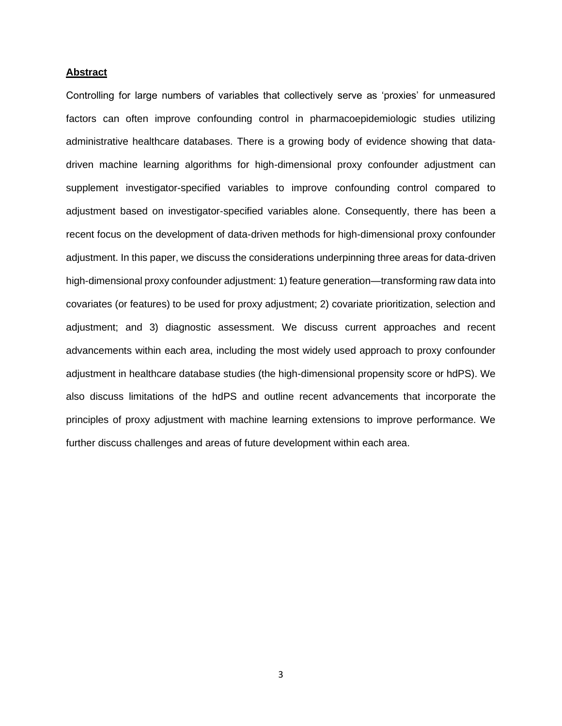#### **Abstract**

Controlling for large numbers of variables that collectively serve as 'proxies' for unmeasured factors can often improve confounding control in pharmacoepidemiologic studies utilizing administrative healthcare databases. There is a growing body of evidence showing that datadriven machine learning algorithms for high-dimensional proxy confounder adjustment can supplement investigator-specified variables to improve confounding control compared to adjustment based on investigator-specified variables alone. Consequently, there has been a recent focus on the development of data-driven methods for high-dimensional proxy confounder adjustment. In this paper, we discuss the considerations underpinning three areas for data-driven high-dimensional proxy confounder adjustment: 1) feature generation—transforming raw data into covariates (or features) to be used for proxy adjustment; 2) covariate prioritization, selection and adjustment; and 3) diagnostic assessment. We discuss current approaches and recent advancements within each area, including the most widely used approach to proxy confounder adjustment in healthcare database studies (the high-dimensional propensity score or hdPS). We also discuss limitations of the hdPS and outline recent advancements that incorporate the principles of proxy adjustment with machine learning extensions to improve performance. We further discuss challenges and areas of future development within each area.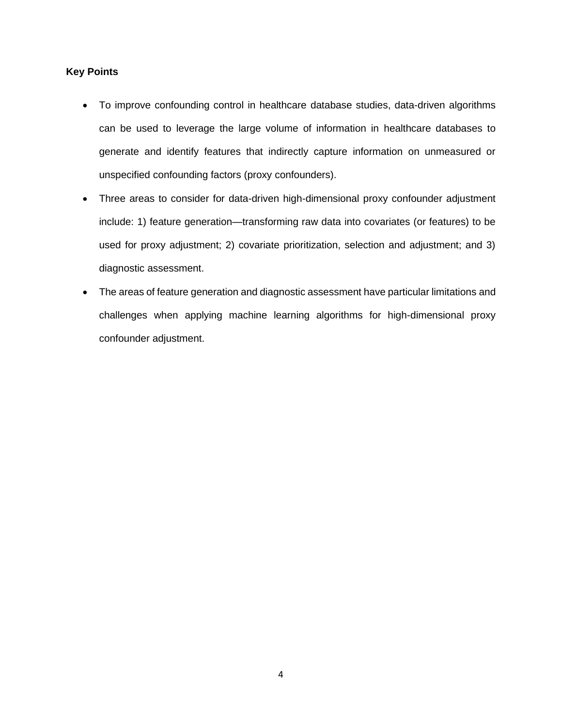# **Key Points**

- To improve confounding control in healthcare database studies, data-driven algorithms can be used to leverage the large volume of information in healthcare databases to generate and identify features that indirectly capture information on unmeasured or unspecified confounding factors (proxy confounders).
- Three areas to consider for data-driven high-dimensional proxy confounder adjustment include: 1) feature generation—transforming raw data into covariates (or features) to be used for proxy adjustment; 2) covariate prioritization, selection and adjustment; and 3) diagnostic assessment.
- The areas of feature generation and diagnostic assessment have particular limitations and challenges when applying machine learning algorithms for high-dimensional proxy confounder adjustment.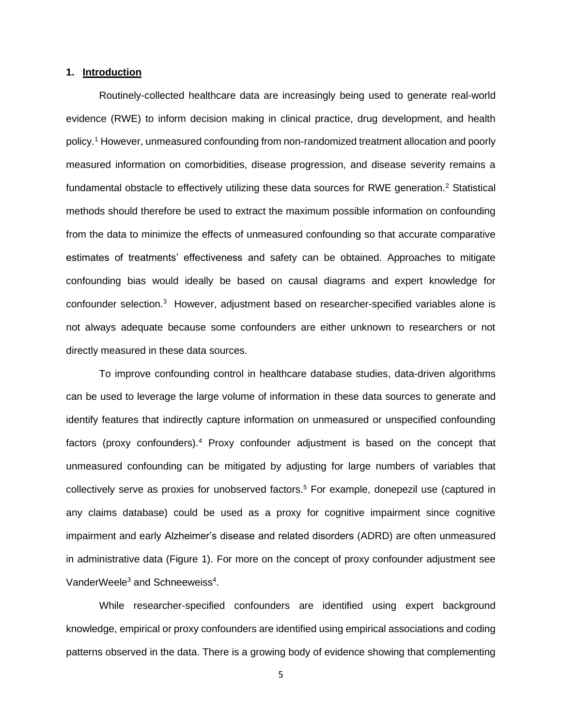### **1. Introduction**

Routinely-collected healthcare data are increasingly being used to generate real-world evidence (RWE) to inform decision making in clinical practice, drug development, and health policy.<sup>1</sup> However, unmeasured confounding from non-randomized treatment allocation and poorly measured information on comorbidities, disease progression, and disease severity remains a fundamental obstacle to effectively utilizing these data sources for RWE generation.<sup>2</sup> Statistical methods should therefore be used to extract the maximum possible information on confounding from the data to minimize the effects of unmeasured confounding so that accurate comparative estimates of treatments' effectiveness and safety can be obtained. Approaches to mitigate confounding bias would ideally be based on causal diagrams and expert knowledge for confounder selection.<sup>3</sup> However, adjustment based on researcher-specified variables alone is not always adequate because some confounders are either unknown to researchers or not directly measured in these data sources.

To improve confounding control in healthcare database studies, data-driven algorithms can be used to leverage the large volume of information in these data sources to generate and identify features that indirectly capture information on unmeasured or unspecified confounding factors (proxy confounders).<sup>4</sup> Proxy confounder adjustment is based on the concept that unmeasured confounding can be mitigated by adjusting for large numbers of variables that collectively serve as proxies for unobserved factors. <sup>5</sup> For example, donepezil use (captured in any claims database) could be used as a proxy for cognitive impairment since cognitive impairment and early Alzheimer's disease and related disorders (ADRD) are often unmeasured in administrative data (Figure 1). For more on the concept of proxy confounder adjustment see VanderWeele<sup>3</sup> and Schneeweiss<sup>4</sup>.

While researcher-specified confounders are identified using expert background knowledge, empirical or proxy confounders are identified using empirical associations and coding patterns observed in the data. There is a growing body of evidence showing that complementing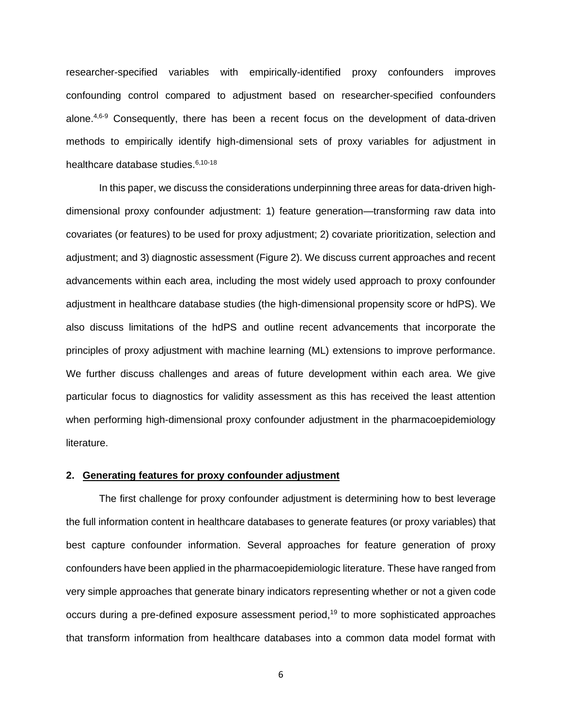researcher-specified variables with empirically-identified proxy confounders improves confounding control compared to adjustment based on researcher-specified confounders alone.<sup>4,6-9</sup> Consequently, there has been a recent focus on the development of data-driven methods to empirically identify high-dimensional sets of proxy variables for adjustment in healthcare database studies.<sup>6,10-18</sup>

In this paper, we discuss the considerations underpinning three areas for data-driven highdimensional proxy confounder adjustment: 1) feature generation—transforming raw data into covariates (or features) to be used for proxy adjustment; 2) covariate prioritization, selection and adjustment; and 3) diagnostic assessment (Figure 2). We discuss current approaches and recent advancements within each area, including the most widely used approach to proxy confounder adjustment in healthcare database studies (the high-dimensional propensity score or hdPS). We also discuss limitations of the hdPS and outline recent advancements that incorporate the principles of proxy adjustment with machine learning (ML) extensions to improve performance. We further discuss challenges and areas of future development within each area. We give particular focus to diagnostics for validity assessment as this has received the least attention when performing high-dimensional proxy confounder adjustment in the pharmacoepidemiology literature.

### **2. Generating features for proxy confounder adjustment**

The first challenge for proxy confounder adjustment is determining how to best leverage the full information content in healthcare databases to generate features (or proxy variables) that best capture confounder information. Several approaches for feature generation of proxy confounders have been applied in the pharmacoepidemiologic literature. These have ranged from very simple approaches that generate binary indicators representing whether or not a given code occurs during a pre-defined exposure assessment period, <sup>19</sup> to more sophisticated approaches that transform information from healthcare databases into a common data model format with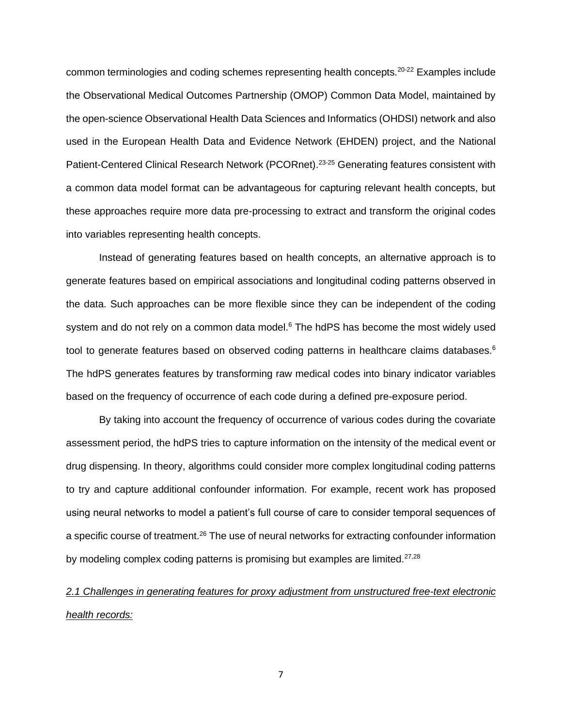common terminologies and coding schemes representing health concepts.20-22 Examples include the Observational Medical Outcomes Partnership (OMOP) Common Data Model, maintained by the open-science Observational Health Data Sciences and Informatics (OHDSI) network and also used in the European Health Data and Evidence Network (EHDEN) project, and the National Patient-Centered Clinical Research Network (PCORnet).<sup>23-25</sup> Generating features consistent with a common data model format can be advantageous for capturing relevant health concepts, but these approaches require more data pre-processing to extract and transform the original codes into variables representing health concepts.

Instead of generating features based on health concepts, an alternative approach is to generate features based on empirical associations and longitudinal coding patterns observed in the data. Such approaches can be more flexible since they can be independent of the coding system and do not rely on a common data model.<sup>6</sup> The hdPS has become the most widely used tool to generate features based on observed coding patterns in healthcare claims databases.<sup>6</sup> The hdPS generates features by transforming raw medical codes into binary indicator variables based on the frequency of occurrence of each code during a defined pre-exposure period.

By taking into account the frequency of occurrence of various codes during the covariate assessment period, the hdPS tries to capture information on the intensity of the medical event or drug dispensing. In theory, algorithms could consider more complex longitudinal coding patterns to try and capture additional confounder information. For example, recent work has proposed using neural networks to model a patient's full course of care to consider temporal sequences of a specific course of treatment.<sup>26</sup> The use of neural networks for extracting confounder information by modeling complex coding patterns is promising but examples are limited.<sup>27,28</sup>

*2.1 Challenges in generating features for proxy adjustment from unstructured free-text electronic health records:*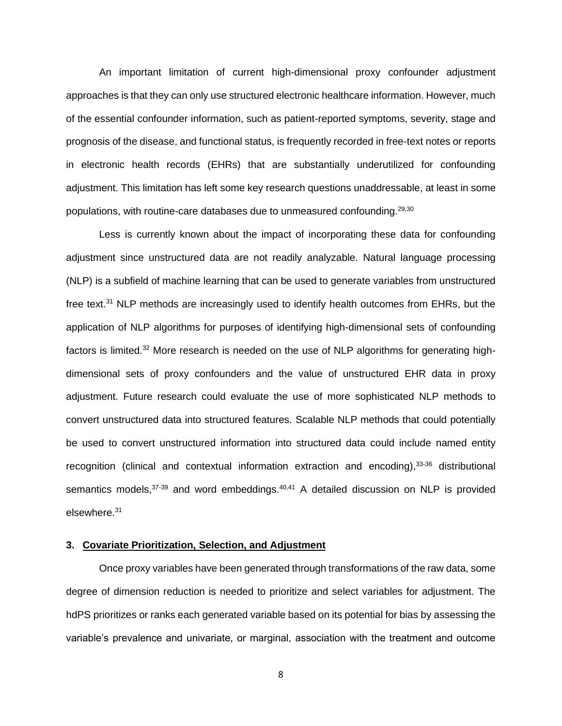An important limitation of current high-dimensional proxy confounder adjustment approaches is that they can only use structured electronic healthcare information. However, much of the essential confounder information, such as patient-reported symptoms, severity, stage and prognosis of the disease, and functional status, is frequently recorded in free-text notes or reports in electronic health records (EHRs) that are substantially underutilized for confounding adjustment. This limitation has left some key research questions unaddressable, at least in some populations, with routine-care databases due to unmeasured confounding. 29,30

Less is currently known about the impact of incorporating these data for confounding adjustment since unstructured data are not readily analyzable. Natural language processing (NLP) is a subfield of machine learning that can be used to generate variables from unstructured free text.<sup>31</sup> NLP methods are increasingly used to identify health outcomes from EHRs, but the application of NLP algorithms for purposes of identifying high-dimensional sets of confounding factors is limited.<sup>32</sup> More research is needed on the use of NLP algorithms for generating highdimensional sets of proxy confounders and the value of unstructured EHR data in proxy adjustment. Future research could evaluate the use of more sophisticated NLP methods to convert unstructured data into structured features. Scalable NLP methods that could potentially be used to convert unstructured information into structured data could include named entity recognition (clinical and contextual information extraction and encoding),33-36 distributional semantics models, 37-39 and word embeddings. 40,41 A detailed discussion on NLP is provided elsewhere.<sup>31</sup>

#### **3. Covariate Prioritization, Selection, and Adjustment**

Once proxy variables have been generated through transformations of the raw data, some degree of dimension reduction is needed to prioritize and select variables for adjustment. The hdPS prioritizes or ranks each generated variable based on its potential for bias by assessing the variable's prevalence and univariate, or marginal, association with the treatment and outcome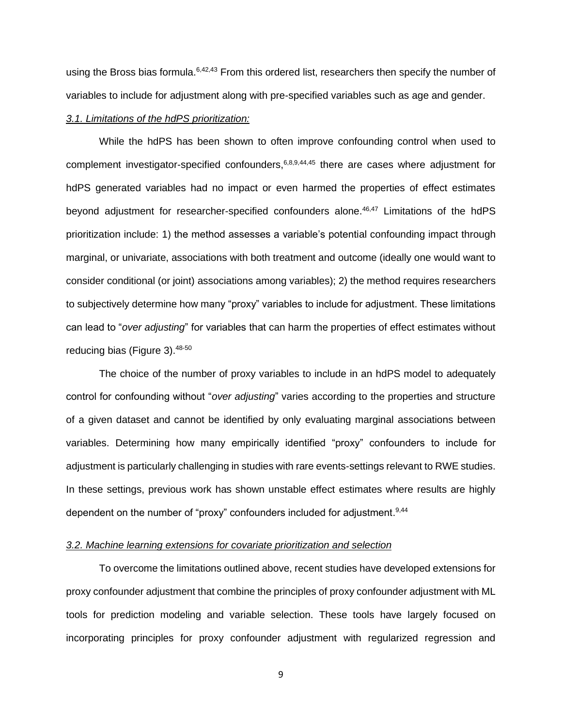using the Bross bias formula.<sup>6,42,43</sup> From this ordered list, researchers then specify the number of variables to include for adjustment along with pre-specified variables such as age and gender.

### *3.1. Limitations of the hdPS prioritization:*

While the hdPS has been shown to often improve confounding control when used to complement investigator-specified confounders,  $6,8,9,44,45$  there are cases where adjustment for hdPS generated variables had no impact or even harmed the properties of effect estimates beyond adjustment for researcher-specified confounders alone.<sup>46,47</sup> Limitations of the hdPS prioritization include: 1) the method assesses a variable's potential confounding impact through marginal, or univariate, associations with both treatment and outcome (ideally one would want to consider conditional (or joint) associations among variables); 2) the method requires researchers to subjectively determine how many "proxy" variables to include for adjustment. These limitations can lead to "*over adjusting*" for variables that can harm the properties of effect estimates without reducing bias (Figure 3).<sup>48-50</sup>

The choice of the number of proxy variables to include in an hdPS model to adequately control for confounding without "*over adjusting*" varies according to the properties and structure of a given dataset and cannot be identified by only evaluating marginal associations between variables. Determining how many empirically identified "proxy" confounders to include for adjustment is particularly challenging in studies with rare events-settings relevant to RWE studies. In these settings, previous work has shown unstable effect estimates where results are highly dependent on the number of "proxy" confounders included for adjustment.<sup>9,44</sup>

### *3.2. Machine learning extensions for covariate prioritization and selection*

To overcome the limitations outlined above, recent studies have developed extensions for proxy confounder adjustment that combine the principles of proxy confounder adjustment with ML tools for prediction modeling and variable selection. These tools have largely focused on incorporating principles for proxy confounder adjustment with regularized regression and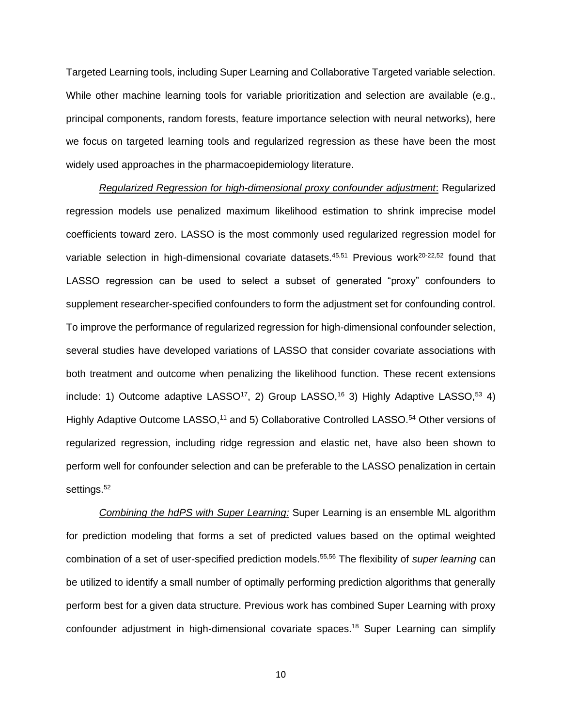Targeted Learning tools, including Super Learning and Collaborative Targeted variable selection. While other machine learning tools for variable prioritization and selection are available (e.g., principal components, random forests, feature importance selection with neural networks), here we focus on targeted learning tools and regularized regression as these have been the most widely used approaches in the pharmacoepidemiology literature.

*Regularized Regression for high-dimensional proxy confounder adjustment*: Regularized regression models use penalized maximum likelihood estimation to shrink imprecise model coefficients toward zero. LASSO is the most commonly used regularized regression model for variable selection in high-dimensional covariate datasets.<sup>45,51</sup> Previous work<sup>20-22,52</sup> found that LASSO regression can be used to select a subset of generated "proxy" confounders to supplement researcher-specified confounders to form the adjustment set for confounding control. To improve the performance of regularized regression for high-dimensional confounder selection, several studies have developed variations of LASSO that consider covariate associations with both treatment and outcome when penalizing the likelihood function. These recent extensions include: 1) Outcome adaptive LASSO<sup>17</sup>, 2) Group LASSO,<sup>16</sup> 3) Highly Adaptive LASSO,<sup>53</sup> 4) Highly Adaptive Outcome LASSO,<sup>11</sup> and 5) Collaborative Controlled LASSO.<sup>54</sup> Other versions of regularized regression, including ridge regression and elastic net, have also been shown to perform well for confounder selection and can be preferable to the LASSO penalization in certain settings.<sup>52</sup>

*Combining the hdPS with Super Learning:* Super Learning is an ensemble ML algorithm for prediction modeling that forms a set of predicted values based on the optimal weighted combination of a set of user-specified prediction models. 55,56 The flexibility of *super learning* can be utilized to identify a small number of optimally performing prediction algorithms that generally perform best for a given data structure. Previous work has combined Super Learning with proxy confounder adjustment in high-dimensional covariate spaces. <sup>18</sup> Super Learning can simplify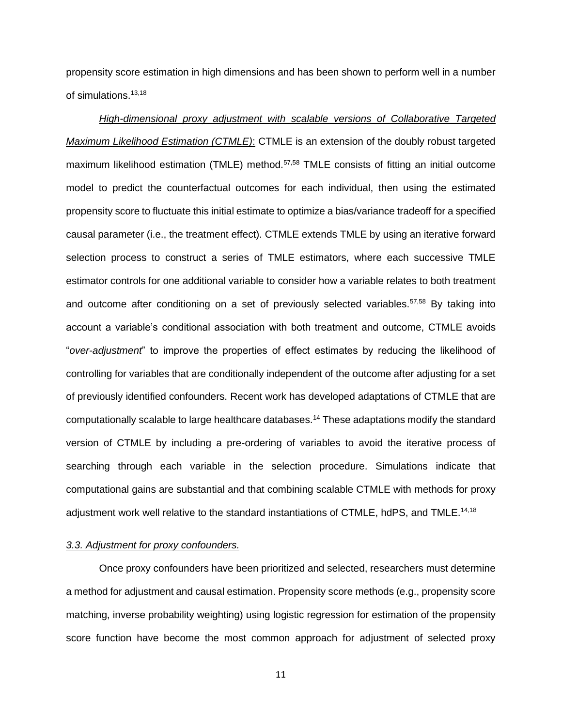propensity score estimation in high dimensions and has been shown to perform well in a number of simulations.<sup>13,18</sup>

*High-dimensional proxy adjustment with scalable versions of Collaborative Targeted Maximum Likelihood Estimation (CTMLE)*: CTMLE is an extension of the doubly robust targeted maximum likelihood estimation (TMLE) method.<sup>57,58</sup> TMLE consists of fitting an initial outcome model to predict the counterfactual outcomes for each individual, then using the estimated propensity score to fluctuate this initial estimate to optimize a bias/variance tradeoff for a specified causal parameter (i.e., the treatment effect). CTMLE extends TMLE by using an iterative forward selection process to construct a series of TMLE estimators, where each successive TMLE estimator controls for one additional variable to consider how a variable relates to both treatment and outcome after conditioning on a set of previously selected variables.<sup>57,58</sup> By taking into account a variable's conditional association with both treatment and outcome, CTMLE avoids "*over-adjustment*" to improve the properties of effect estimates by reducing the likelihood of controlling for variables that are conditionally independent of the outcome after adjusting for a set of previously identified confounders. Recent work has developed adaptations of CTMLE that are computationally scalable to large healthcare databases.<sup>14</sup> These adaptations modify the standard version of CTMLE by including a pre-ordering of variables to avoid the iterative process of searching through each variable in the selection procedure. Simulations indicate that computational gains are substantial and that combining scalable CTMLE with methods for proxy adjustment work well relative to the standard instantiations of CTMLE, hdPS, and TMLE.<sup>14,18</sup>

## *3.3. Adjustment for proxy confounders.*

Once proxy confounders have been prioritized and selected, researchers must determine a method for adjustment and causal estimation. Propensity score methods (e.g., propensity score matching, inverse probability weighting) using logistic regression for estimation of the propensity score function have become the most common approach for adjustment of selected proxy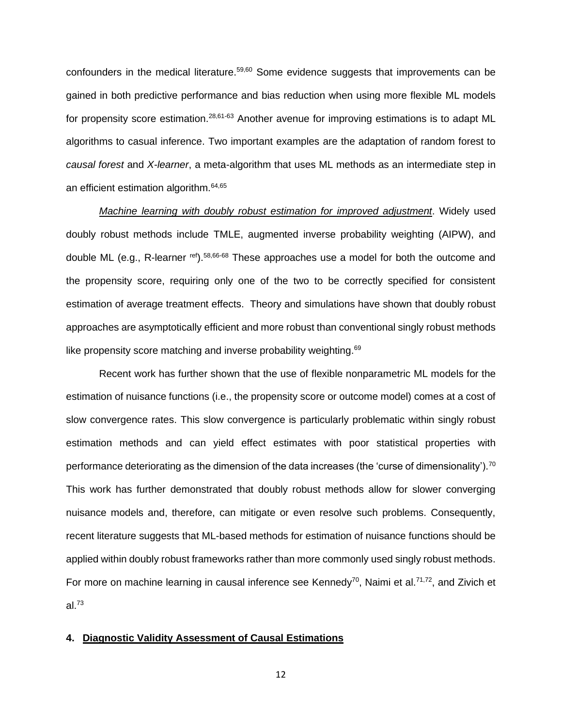confounders in the medical literature.<sup>59,60</sup> Some evidence suggests that improvements can be gained in both predictive performance and bias reduction when using more flexible ML models for propensity score estimation.<sup>28,61-63</sup> Another avenue for improving estimations is to adapt ML algorithms to casual inference. Two important examples are the adaptation of random forest to *causal forest* and *X-learner*, a meta-algorithm that uses ML methods as an intermediate step in an efficient estimation algorithm.64,65

*Machine learning with doubly robust estimation for improved adjustment*. Widely used doubly robust methods include TMLE, augmented inverse probability weighting (AIPW), and double ML (e.g., R-learner <sup>ref</sup>).<sup>58,66-68</sup> These approaches use a model for both the outcome and the propensity score, requiring only one of the two to be correctly specified for consistent estimation of average treatment effects. Theory and simulations have shown that doubly robust approaches are asymptotically efficient and more robust than conventional singly robust methods like propensity score matching and inverse probability weighting.<sup>69</sup>

Recent work has further shown that the use of flexible nonparametric ML models for the estimation of nuisance functions (i.e., the propensity score or outcome model) comes at a cost of slow convergence rates. This slow convergence is particularly problematic within singly robust estimation methods and can yield effect estimates with poor statistical properties with performance deteriorating as the dimension of the data increases (the 'curse of dimensionality').<sup>70</sup> This work has further demonstrated that doubly robust methods allow for slower converging nuisance models and, therefore, can mitigate or even resolve such problems. Consequently, recent literature suggests that ML-based methods for estimation of nuisance functions should be applied within doubly robust frameworks rather than more commonly used singly robust methods. For more on machine learning in causal inference see Kennedy<sup>70</sup>, Naimi et al.<sup>71,72</sup>, and Zivich et al.<sup>73</sup>

# **4. Diagnostic Validity Assessment of Causal Estimations**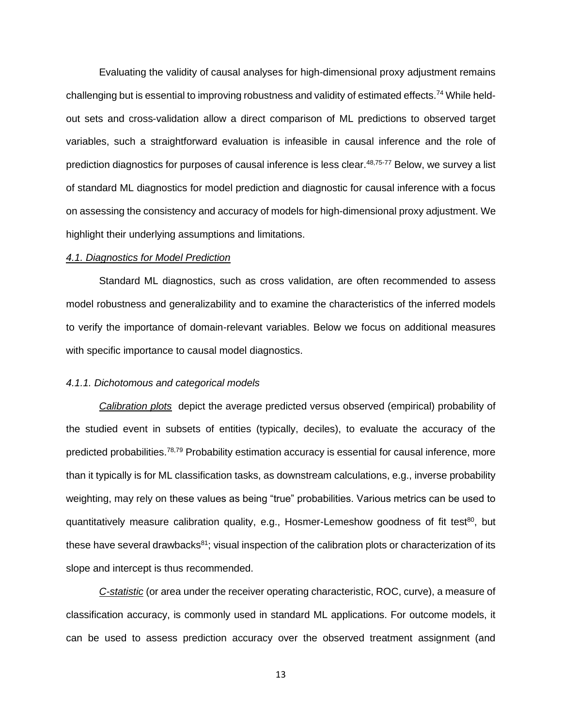Evaluating the validity of causal analyses for high-dimensional proxy adjustment remains challenging but is essential to improving robustness and validity of estimated effects.<sup>74</sup> While heldout sets and cross-validation allow a direct comparison of ML predictions to observed target variables, such a straightforward evaluation is infeasible in causal inference and the role of prediction diagnostics for purposes of causal inference is less clear. 48,75-77 Below, we survey a list of standard ML diagnostics for model prediction and diagnostic for causal inference with a focus on assessing the consistency and accuracy of models for high-dimensional proxy adjustment. We highlight their underlying assumptions and limitations.

### *4.1. Diagnostics for Model Prediction*

Standard ML diagnostics, such as cross validation, are often recommended to assess model robustness and generalizability and to examine the characteristics of the inferred models to verify the importance of domain-relevant variables. Below we focus on additional measures with specific importance to causal model diagnostics.

## *4.1.1. Dichotomous and categorical models*

*Calibration plots* depict the average predicted versus observed (empirical) probability of the studied event in subsets of entities (typically, deciles), to evaluate the accuracy of the predicted probabilities.<sup>78,79</sup> Probability estimation accuracy is essential for causal inference, more than it typically is for ML classification tasks, as downstream calculations, e.g., inverse probability weighting, may rely on these values as being "true" probabilities. Various metrics can be used to quantitatively measure calibration quality, e.g., Hosmer-Lemeshow goodness of fit test<sup>80</sup>, but these have several drawbacks $81$ ; visual inspection of the calibration plots or characterization of its slope and intercept is thus recommended.

*C-statistic* (or area under the receiver operating characteristic, ROC, curve), a measure of classification accuracy, is commonly used in standard ML applications. For outcome models, it can be used to assess prediction accuracy over the observed treatment assignment (and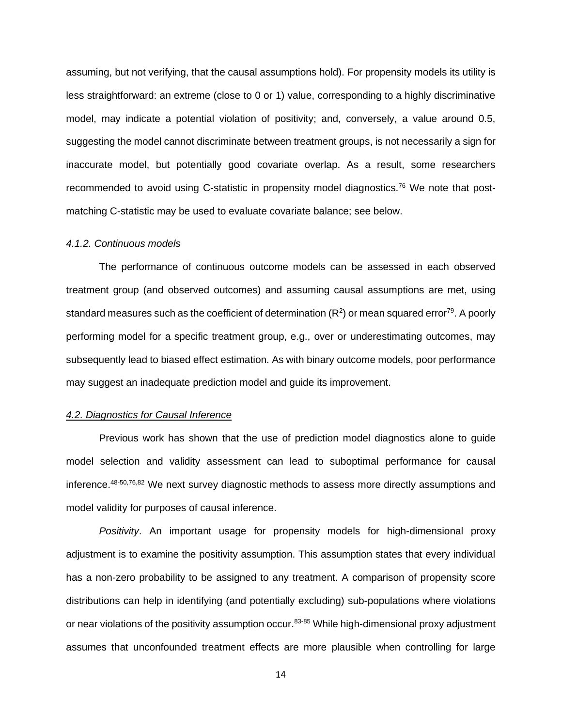assuming, but not verifying, that the causal assumptions hold). For propensity models its utility is less straightforward: an extreme (close to 0 or 1) value, corresponding to a highly discriminative model, may indicate a potential violation of positivity; and, conversely, a value around 0.5, suggesting the model cannot discriminate between treatment groups, is not necessarily a sign for inaccurate model, but potentially good covariate overlap. As a result, some researchers recommended to avoid using C-statistic in propensity model diagnostics.<sup>76</sup> We note that postmatching C-statistic may be used to evaluate covariate balance; see below.

### *4.1.2. Continuous models*

The performance of continuous outcome models can be assessed in each observed treatment group (and observed outcomes) and assuming causal assumptions are met, using standard measures such as the coefficient of determination ( $R^2$ ) or mean squared error<sup>79</sup>. A poorly performing model for a specific treatment group, e.g., over or underestimating outcomes, may subsequently lead to biased effect estimation. As with binary outcome models, poor performance may suggest an inadequate prediction model and guide its improvement.

### *4.2. Diagnostics for Causal Inference*

Previous work has shown that the use of prediction model diagnostics alone to guide model selection and validity assessment can lead to suboptimal performance for causal inference.48-50,76,82 We next survey diagnostic methods to assess more directly assumptions and model validity for purposes of causal inference.

*Positivity*. An important usage for propensity models for high-dimensional proxy adjustment is to examine the positivity assumption. This assumption states that every individual has a non-zero probability to be assigned to any treatment. A comparison of propensity score distributions can help in identifying (and potentially excluding) sub-populations where violations or near violations of the positivity assumption occur.<sup>83-85</sup> While high-dimensional proxy adjustment assumes that unconfounded treatment effects are more plausible when controlling for large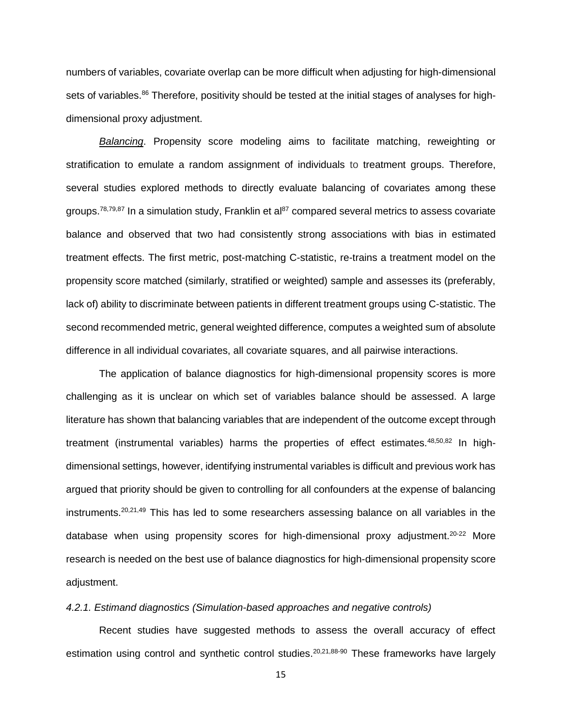numbers of variables, covariate overlap can be more difficult when adjusting for high-dimensional sets of variables.<sup>86</sup> Therefore, positivity should be tested at the initial stages of analyses for highdimensional proxy adjustment.

*Balancing*. Propensity score modeling aims to facilitate matching, reweighting or stratification to emulate a random assignment of individuals to treatment groups. Therefore, several studies explored methods to directly evaluate balancing of covariates among these groups.<sup>78,79,87</sup> In a simulation study, Franklin et al<sup>87</sup> compared several metrics to assess covariate balance and observed that two had consistently strong associations with bias in estimated treatment effects. The first metric, post-matching C-statistic, re-trains a treatment model on the propensity score matched (similarly, stratified or weighted) sample and assesses its (preferably, lack of) ability to discriminate between patients in different treatment groups using C-statistic. The second recommended metric, general weighted difference, computes a weighted sum of absolute difference in all individual covariates, all covariate squares, and all pairwise interactions.

The application of balance diagnostics for high-dimensional propensity scores is more challenging as it is unclear on which set of variables balance should be assessed. A large literature has shown that balancing variables that are independent of the outcome except through treatment (instrumental variables) harms the properties of effect estimates.<sup>48,50,82</sup> In highdimensional settings, however, identifying instrumental variables is difficult and previous work has argued that priority should be given to controlling for all confounders at the expense of balancing instruments.20,21,49 This has led to some researchers assessing balance on all variables in the database when using propensity scores for high-dimensional proxy adjustment.<sup>20-22</sup> More research is needed on the best use of balance diagnostics for high-dimensional propensity score adjustment.

#### *4.2.1. Estimand diagnostics (Simulation-based approaches and negative controls)*

Recent studies have suggested methods to assess the overall accuracy of effect estimation using control and synthetic control studies.<sup>20,21,88-90</sup> These frameworks have largely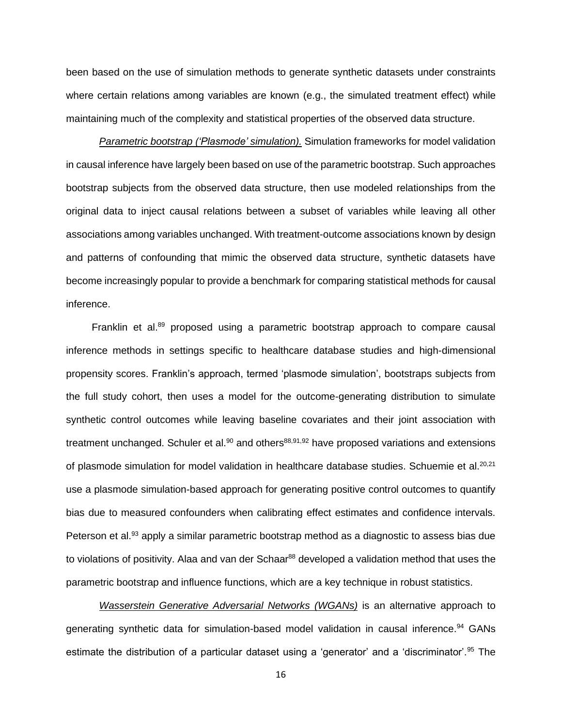been based on the use of simulation methods to generate synthetic datasets under constraints where certain relations among variables are known (e.g., the simulated treatment effect) while maintaining much of the complexity and statistical properties of the observed data structure.

*Parametric bootstrap ('Plasmode' simulation).* Simulation frameworks for model validation in causal inference have largely been based on use of the parametric bootstrap. Such approaches bootstrap subjects from the observed data structure, then use modeled relationships from the original data to inject causal relations between a subset of variables while leaving all other associations among variables unchanged. With treatment-outcome associations known by design and patterns of confounding that mimic the observed data structure, synthetic datasets have become increasingly popular to provide a benchmark for comparing statistical methods for causal inference.

Franklin et al.<sup>89</sup> proposed using a parametric bootstrap approach to compare causal inference methods in settings specific to healthcare database studies and high-dimensional propensity scores. Franklin's approach, termed 'plasmode simulation', bootstraps subjects from the full study cohort, then uses a model for the outcome-generating distribution to simulate synthetic control outcomes while leaving baseline covariates and their joint association with treatment unchanged. Schuler et al. $90$  and others $88,91,92$  have proposed variations and extensions of plasmode simulation for model validation in healthcare database studies. Schuemie et al.<sup>20,21</sup> use a plasmode simulation-based approach for generating positive control outcomes to quantify bias due to measured confounders when calibrating effect estimates and confidence intervals. Peterson et al.<sup>93</sup> apply a similar parametric bootstrap method as a diagnostic to assess bias due to violations of positivity. Alaa and van der Schaar<sup>88</sup> developed a validation method that uses the parametric bootstrap and influence functions, which are a key technique in robust statistics.

*Wasserstein Generative Adversarial Networks (WGANs)* is an alternative approach to generating synthetic data for simulation-based model validation in causal inference.<sup>94</sup> GANs estimate the distribution of a particular dataset using a 'generator' and a 'discriminator'.<sup>95</sup> The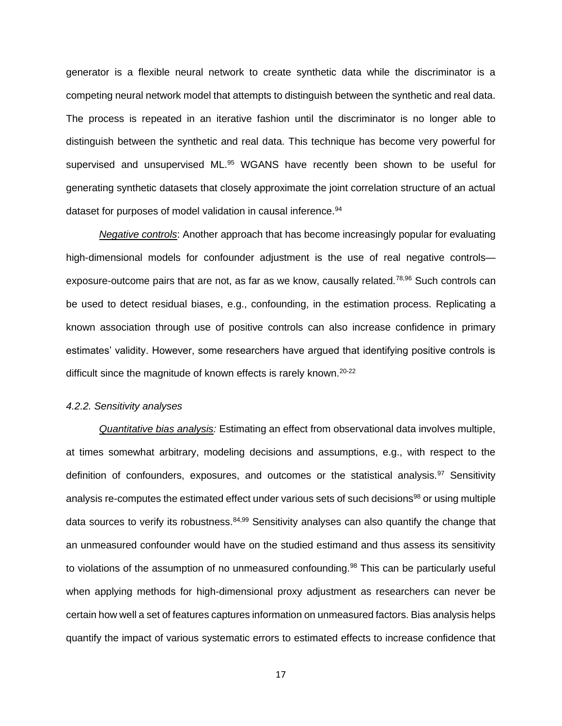generator is a flexible neural network to create synthetic data while the discriminator is a competing neural network model that attempts to distinguish between the synthetic and real data. The process is repeated in an iterative fashion until the discriminator is no longer able to distinguish between the synthetic and real data. This technique has become very powerful for supervised and unsupervised ML.<sup>95</sup> WGANS have recently been shown to be useful for generating synthetic datasets that closely approximate the joint correlation structure of an actual dataset for purposes of model validation in causal inference.<sup>94</sup>

*Negative controls*: Another approach that has become increasingly popular for evaluating high-dimensional models for confounder adjustment is the use of real negative controls exposure-outcome pairs that are not, as far as we know, causally related.<sup>78,96</sup> Such controls can be used to detect residual biases, e.g., confounding, in the estimation process. Replicating a known association through use of positive controls can also increase confidence in primary estimates' validity. However, some researchers have argued that identifying positive controls is difficult since the magnitude of known effects is rarely known.<sup>20-22</sup>

#### *4.2.2. Sensitivity analyses*

*Quantitative bias analysis:* Estimating an effect from observational data involves multiple, at times somewhat arbitrary, modeling decisions and assumptions, e.g., with respect to the definition of confounders, exposures, and outcomes or the statistical analysis.<sup>97</sup> Sensitivity analysis re-computes the estimated effect under various sets of such decisions<sup>98</sup> or using multiple data sources to verify its robustness.<sup>84,99</sup> Sensitivity analyses can also quantify the change that an unmeasured confounder would have on the studied estimand and thus assess its sensitivity to violations of the assumption of no unmeasured confounding.<sup>98</sup> This can be particularly useful when applying methods for high-dimensional proxy adjustment as researchers can never be certain how well a set of features captures information on unmeasured factors. Bias analysis helps quantify the impact of various systematic errors to estimated effects to increase confidence that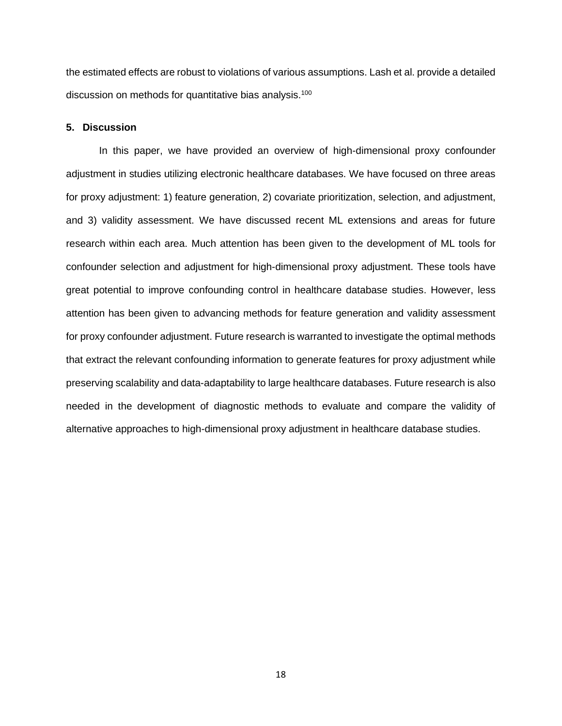the estimated effects are robust to violations of various assumptions. Lash et al. provide a detailed discussion on methods for quantitative bias analysis.<sup>100</sup>

# **5. Discussion**

In this paper, we have provided an overview of high-dimensional proxy confounder adjustment in studies utilizing electronic healthcare databases. We have focused on three areas for proxy adjustment: 1) feature generation, 2) covariate prioritization, selection, and adjustment, and 3) validity assessment. We have discussed recent ML extensions and areas for future research within each area. Much attention has been given to the development of ML tools for confounder selection and adjustment for high-dimensional proxy adjustment. These tools have great potential to improve confounding control in healthcare database studies. However, less attention has been given to advancing methods for feature generation and validity assessment for proxy confounder adjustment. Future research is warranted to investigate the optimal methods that extract the relevant confounding information to generate features for proxy adjustment while preserving scalability and data-adaptability to large healthcare databases. Future research is also needed in the development of diagnostic methods to evaluate and compare the validity of alternative approaches to high-dimensional proxy adjustment in healthcare database studies.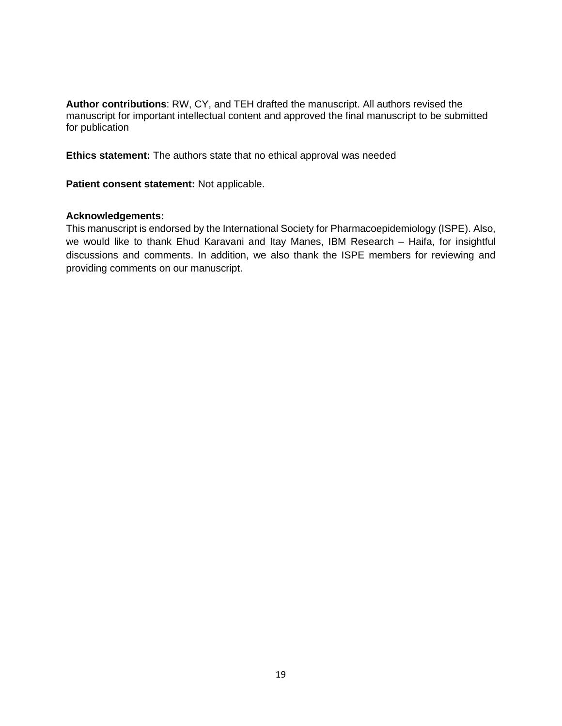**Author contributions**: RW, CY, and TEH drafted the manuscript. All authors revised the manuscript for important intellectual content and approved the final manuscript to be submitted for publication

**Ethics statement:** The authors state that no ethical approval was needed

**Patient consent statement:** Not applicable.

## **Acknowledgements:**

This manuscript is endorsed by the International Society for Pharmacoepidemiology (ISPE). Also, we would like to thank Ehud Karavani and Itay Manes, IBM Research – Haifa, for insightful discussions and comments. In addition, we also thank the ISPE members for reviewing and providing comments on our manuscript.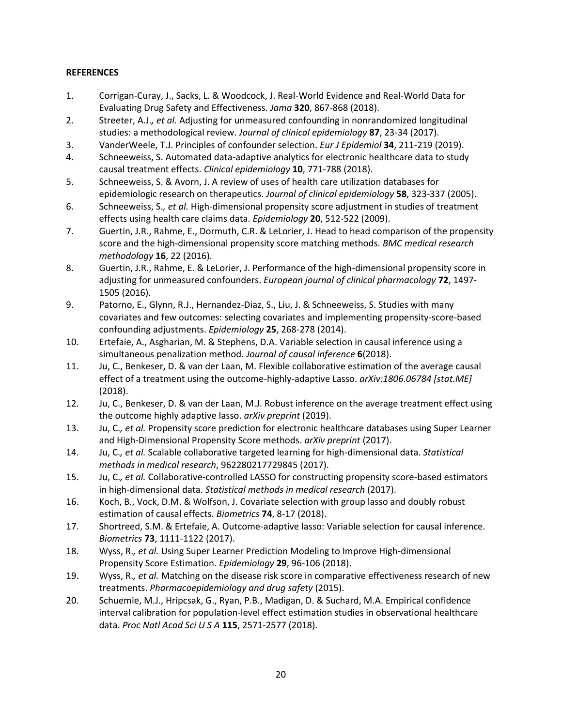# **REFERENCES**

- 1. Corrigan-Curay, J., Sacks, L. & Woodcock, J. Real-World Evidence and Real-World Data for Evaluating Drug Safety and Effectiveness. *Jama* **320**, 867-868 (2018).
- 2. Streeter, A.J.*, et al.* Adjusting for unmeasured confounding in nonrandomized longitudinal studies: a methodological review. *Journal of clinical epidemiology* **87**, 23-34 (2017).
- 3. VanderWeele, T.J. Principles of confounder selection. *Eur J Epidemiol* **34**, 211-219 (2019).
- 4. Schneeweiss, S. Automated data-adaptive analytics for electronic healthcare data to study causal treatment effects. *Clinical epidemiology* **10**, 771-788 (2018).
- 5. Schneeweiss, S. & Avorn, J. A review of uses of health care utilization databases for epidemiologic research on therapeutics. *Journal of clinical epidemiology* **58**, 323-337 (2005).
- 6. Schneeweiss, S.*, et al.* High-dimensional propensity score adjustment in studies of treatment effects using health care claims data. *Epidemiology* **20**, 512-522 (2009).
- 7. Guertin, J.R., Rahme, E., Dormuth, C.R. & LeLorier, J. Head to head comparison of the propensity score and the high-dimensional propensity score matching methods. *BMC medical research methodology* **16**, 22 (2016).
- 8. Guertin, J.R., Rahme, E. & LeLorier, J. Performance of the high-dimensional propensity score in adjusting for unmeasured confounders. *European journal of clinical pharmacology* **72**, 1497- 1505 (2016).
- 9. Patorno, E., Glynn, R.J., Hernandez-Diaz, S., Liu, J. & Schneeweiss, S. Studies with many covariates and few outcomes: selecting covariates and implementing propensity-score-based confounding adjustments. *Epidemiology* **25**, 268-278 (2014).
- 10. Ertefaie, A., Asgharian, M. & Stephens, D.A. Variable selection in causal inference using a simultaneous penalization method. *Journal of causal inference* **6**(2018).
- 11. Ju, C., Benkeser, D. & van der Laan, M. Flexible collaborative estimation of the average causal effect of a treatment using the outcome-highly-adaptive Lasso. *arXiv:1806.06784 [stat.ME]* (2018).
- 12. Ju, C., Benkeser, D. & van der Laan, M.J. Robust inference on the average treatment effect using the outcome highly adaptive lasso. *arXiv preprint* (2019).
- 13. Ju, C.*, et al.* Propensity score prediction for electronic healthcare databases using Super Learner and High-Dimensional Propensity Score methods. *arXiv preprint* (2017).
- 14. Ju, C.*, et al.* Scalable collaborative targeted learning for high-dimensional data. *Statistical methods in medical research*, 962280217729845 (2017).
- 15. Ju, C.*, et al.* Collaborative-controlled LASSO for constructing propensity score-based estimators in high-dimensional data. *Statistical methods in medical research* (2017).
- 16. Koch, B., Vock, D.M. & Wolfson, J. Covariate selection with group lasso and doubly robust estimation of causal effects. *Biometrics* **74**, 8-17 (2018).
- 17. Shortreed, S.M. & Ertefaie, A. Outcome-adaptive lasso: Variable selection for causal inference. *Biometrics* **73**, 1111-1122 (2017).
- 18. Wyss, R.*, et al.* Using Super Learner Prediction Modeling to Improve High-dimensional Propensity Score Estimation. *Epidemiology* **29**, 96-106 (2018).
- 19. Wyss, R.*, et al.* Matching on the disease risk score in comparative effectiveness research of new treatments. *Pharmacoepidemiology and drug safety* (2015).
- 20. Schuemie, M.J., Hripcsak, G., Ryan, P.B., Madigan, D. & Suchard, M.A. Empirical confidence interval calibration for population-level effect estimation studies in observational healthcare data. *Proc Natl Acad Sci U S A* **115**, 2571-2577 (2018).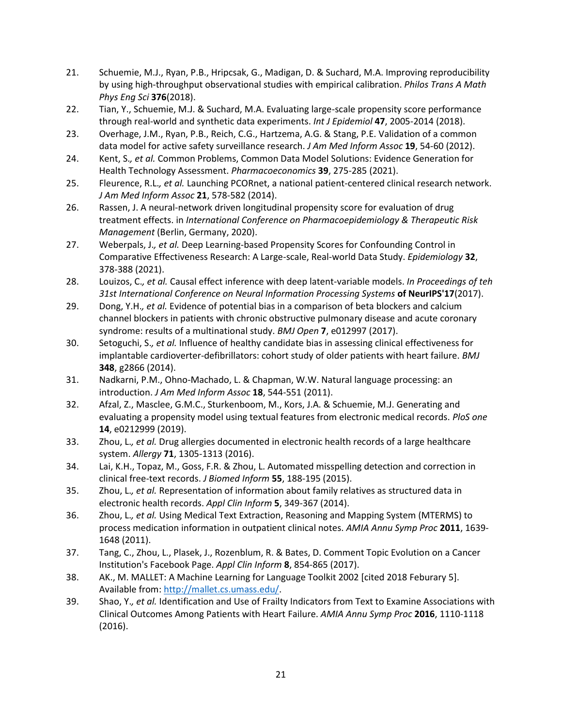- 21. Schuemie, M.J., Ryan, P.B., Hripcsak, G., Madigan, D. & Suchard, M.A. Improving reproducibility by using high-throughput observational studies with empirical calibration. *Philos Trans A Math Phys Eng Sci* **376**(2018).
- 22. Tian, Y., Schuemie, M.J. & Suchard, M.A. Evaluating large-scale propensity score performance through real-world and synthetic data experiments. *Int J Epidemiol* **47**, 2005-2014 (2018).
- 23. Overhage, J.M., Ryan, P.B., Reich, C.G., Hartzema, A.G. & Stang, P.E. Validation of a common data model for active safety surveillance research. *J Am Med Inform Assoc* **19**, 54-60 (2012).
- 24. Kent, S.*, et al.* Common Problems, Common Data Model Solutions: Evidence Generation for Health Technology Assessment. *Pharmacoeconomics* **39**, 275-285 (2021).
- 25. Fleurence, R.L.*, et al.* Launching PCORnet, a national patient-centered clinical research network. *J Am Med Inform Assoc* **21**, 578-582 (2014).
- 26. Rassen, J. A neural-network driven longitudinal propensity score for evaluation of drug treatment effects. in *International Conference on Pharmacoepidemiology & Therapeutic Risk Management* (Berlin, Germany, 2020).
- 27. Weberpals, J.*, et al.* Deep Learning-based Propensity Scores for Confounding Control in Comparative Effectiveness Research: A Large-scale, Real-world Data Study. *Epidemiology* **32**, 378-388 (2021).
- 28. Louizos, C.*, et al.* Causal effect inference with deep latent-variable models. *In Proceedings of teh 31st International Conference on Neural Information Processing Systems* **of NeurIPS'17**(2017).
- 29. Dong, Y.H.*, et al.* Evidence of potential bias in a comparison of beta blockers and calcium channel blockers in patients with chronic obstructive pulmonary disease and acute coronary syndrome: results of a multinational study. *BMJ Open* **7**, e012997 (2017).
- 30. Setoguchi, S.*, et al.* Influence of healthy candidate bias in assessing clinical effectiveness for implantable cardioverter-defibrillators: cohort study of older patients with heart failure. *BMJ* **348**, g2866 (2014).
- 31. Nadkarni, P.M., Ohno-Machado, L. & Chapman, W.W. Natural language processing: an introduction. *J Am Med Inform Assoc* **18**, 544-551 (2011).
- 32. Afzal, Z., Masclee, G.M.C., Sturkenboom, M., Kors, J.A. & Schuemie, M.J. Generating and evaluating a propensity model using textual features from electronic medical records. *PloS one* **14**, e0212999 (2019).
- 33. Zhou, L.*, et al.* Drug allergies documented in electronic health records of a large healthcare system. *Allergy* **71**, 1305-1313 (2016).
- 34. Lai, K.H., Topaz, M., Goss, F.R. & Zhou, L. Automated misspelling detection and correction in clinical free-text records. *J Biomed Inform* **55**, 188-195 (2015).
- 35. Zhou, L.*, et al.* Representation of information about family relatives as structured data in electronic health records. *Appl Clin Inform* **5**, 349-367 (2014).
- 36. Zhou, L.*, et al.* Using Medical Text Extraction, Reasoning and Mapping System (MTERMS) to process medication information in outpatient clinical notes. *AMIA Annu Symp Proc* **2011**, 1639- 1648 (2011).
- 37. Tang, C., Zhou, L., Plasek, J., Rozenblum, R. & Bates, D. Comment Topic Evolution on a Cancer Institution's Facebook Page. *Appl Clin Inform* **8**, 854-865 (2017).
- 38. AK., M. MALLET: A Machine Learning for Language Toolkit 2002 [cited 2018 Feburary 5]. Available from[: http://mallet.cs.umass.edu/.](http://mallet.cs.umass.edu/)
- 39. Shao, Y.*, et al.* Identification and Use of Frailty Indicators from Text to Examine Associations with Clinical Outcomes Among Patients with Heart Failure. *AMIA Annu Symp Proc* **2016**, 1110-1118 (2016).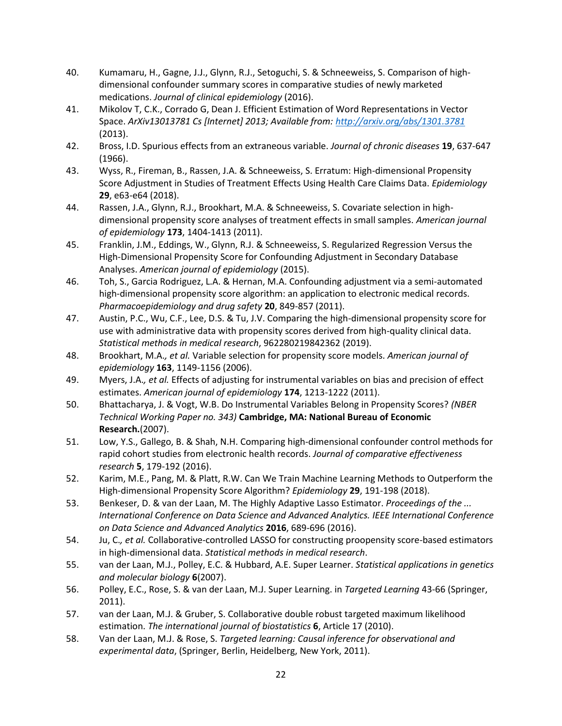- 40. Kumamaru, H., Gagne, J.J., Glynn, R.J., Setoguchi, S. & Schneeweiss, S. Comparison of highdimensional confounder summary scores in comparative studies of newly marketed medications. *Journal of clinical epidemiology* (2016).
- 41. Mikolov T, C.K., Corrado G, Dean J. Efficient Estimation of Word Representations in Vector Space. *ArXiv13013781 Cs [Internet] 2013; Available from[: http://arxiv.org/abs/1301.3781](http://arxiv.org/abs/1301.3781)* (2013).
- 42. Bross, I.D. Spurious effects from an extraneous variable. *Journal of chronic diseases* **19**, 637-647 (1966).
- 43. Wyss, R., Fireman, B., Rassen, J.A. & Schneeweiss, S. Erratum: High-dimensional Propensity Score Adjustment in Studies of Treatment Effects Using Health Care Claims Data. *Epidemiology* **29**, e63-e64 (2018).
- 44. Rassen, J.A., Glynn, R.J., Brookhart, M.A. & Schneeweiss, S. Covariate selection in highdimensional propensity score analyses of treatment effects in small samples. *American journal of epidemiology* **173**, 1404-1413 (2011).
- 45. Franklin, J.M., Eddings, W., Glynn, R.J. & Schneeweiss, S. Regularized Regression Versus the High-Dimensional Propensity Score for Confounding Adjustment in Secondary Database Analyses. *American journal of epidemiology* (2015).
- 46. Toh, S., Garcia Rodriguez, L.A. & Hernan, M.A. Confounding adjustment via a semi-automated high-dimensional propensity score algorithm: an application to electronic medical records. *Pharmacoepidemiology and drug safety* **20**, 849-857 (2011).
- 47. Austin, P.C., Wu, C.F., Lee, D.S. & Tu, J.V. Comparing the high-dimensional propensity score for use with administrative data with propensity scores derived from high-quality clinical data. *Statistical methods in medical research*, 962280219842362 (2019).
- 48. Brookhart, M.A.*, et al.* Variable selection for propensity score models. *American journal of epidemiology* **163**, 1149-1156 (2006).
- 49. Myers, J.A.*, et al.* Effects of adjusting for instrumental variables on bias and precision of effect estimates. *American journal of epidemiology* **174**, 1213-1222 (2011).
- 50. Bhattacharya, J. & Vogt, W.B. Do Instrumental Variables Belong in Propensity Scores? *(NBER Technical Working Paper no. 343)* **Cambridge, MA: National Bureau of Economic Research.**(2007).
- 51. Low, Y.S., Gallego, B. & Shah, N.H. Comparing high-dimensional confounder control methods for rapid cohort studies from electronic health records. *Journal of comparative effectiveness research* **5**, 179-192 (2016).
- 52. Karim, M.E., Pang, M. & Platt, R.W. Can We Train Machine Learning Methods to Outperform the High-dimensional Propensity Score Algorithm? *Epidemiology* **29**, 191-198 (2018).
- 53. Benkeser, D. & van der Laan, M. The Highly Adaptive Lasso Estimator. *Proceedings of the ... International Conference on Data Science and Advanced Analytics. IEEE International Conference on Data Science and Advanced Analytics* **2016**, 689-696 (2016).
- 54. Ju, C.*, et al.* Collaborative-controlled LASSO for constructing proopensity score-based estimators in high-dimensional data. *Statistical methods in medical research*.
- 55. van der Laan, M.J., Polley, E.C. & Hubbard, A.E. Super Learner. *Statistical applications in genetics and molecular biology* **6**(2007).
- 56. Polley, E.C., Rose, S. & van der Laan, M.J. Super Learning. in *Targeted Learning* 43-66 (Springer, 2011).
- 57. van der Laan, M.J. & Gruber, S. Collaborative double robust targeted maximum likelihood estimation. *The international journal of biostatistics* **6**, Article 17 (2010).
- 58. Van der Laan, M.J. & Rose, S. *Targeted learning: Causal inference for observational and experimental data*, (Springer, Berlin, Heidelberg, New York, 2011).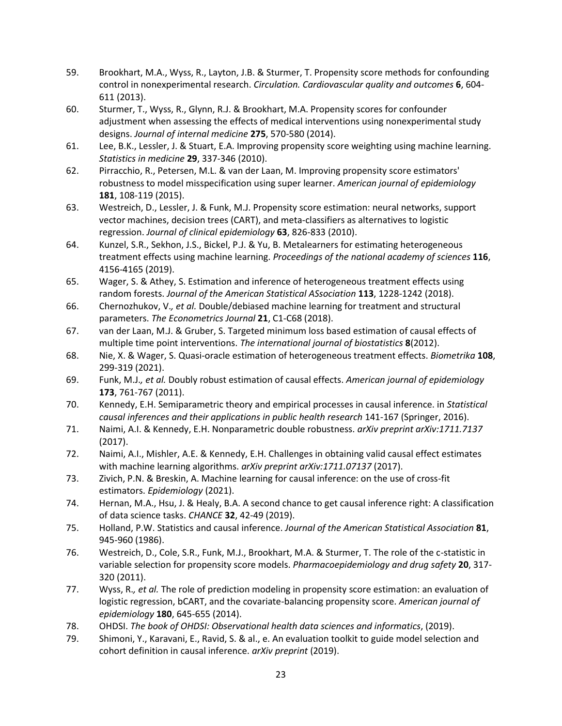- 59. Brookhart, M.A., Wyss, R., Layton, J.B. & Sturmer, T. Propensity score methods for confounding control in nonexperimental research. *Circulation. Cardiovascular quality and outcomes* **6**, 604- 611 (2013).
- 60. Sturmer, T., Wyss, R., Glynn, R.J. & Brookhart, M.A. Propensity scores for confounder adjustment when assessing the effects of medical interventions using nonexperimental study designs. *Journal of internal medicine* **275**, 570-580 (2014).
- 61. Lee, B.K., Lessler, J. & Stuart, E.A. Improving propensity score weighting using machine learning. *Statistics in medicine* **29**, 337-346 (2010).
- 62. Pirracchio, R., Petersen, M.L. & van der Laan, M. Improving propensity score estimators' robustness to model misspecification using super learner. *American journal of epidemiology* **181**, 108-119 (2015).
- 63. Westreich, D., Lessler, J. & Funk, M.J. Propensity score estimation: neural networks, support vector machines, decision trees (CART), and meta-classifiers as alternatives to logistic regression. *Journal of clinical epidemiology* **63**, 826-833 (2010).
- 64. Kunzel, S.R., Sekhon, J.S., Bickel, P.J. & Yu, B. Metalearners for estimating heterogeneous treatment effects using machine learning. *Proceedings of the national academy of sciences* **116**, 4156-4165 (2019).
- 65. Wager, S. & Athey, S. Estimation and inference of heterogeneous treatment effects using random forests. *Journal of the American Statistical ASsociation* **113**, 1228-1242 (2018).
- 66. Chernozhukov, V.*, et al.* Double/debiased machine learning for treatment and structural parameters. *The Econometrics Journal* **21**, C1-C68 (2018).
- 67. van der Laan, M.J. & Gruber, S. Targeted minimum loss based estimation of causal effects of multiple time point interventions. *The international journal of biostatistics* **8**(2012).
- 68. Nie, X. & Wager, S. Quasi-oracle estimation of heterogeneous treatment effects. *Biometrika* **108**, 299-319 (2021).
- 69. Funk, M.J.*, et al.* Doubly robust estimation of causal effects. *American journal of epidemiology* **173**, 761-767 (2011).
- 70. Kennedy, E.H. Semiparametric theory and empirical processes in causal inference. in *Statistical causal inferences and their applications in public health research* 141-167 (Springer, 2016).
- 71. Naimi, A.I. & Kennedy, E.H. Nonparametric double robustness. *arXiv preprint arXiv:1711.7137* (2017).
- 72. Naimi, A.I., Mishler, A.E. & Kennedy, E.H. Challenges in obtaining valid causal effect estimates with machine learning algorithms. *arXiv preprint arXiv:1711.07137* (2017).
- 73. Zivich, P.N. & Breskin, A. Machine learning for causal inference: on the use of cross-fit estimators. *Epidemiology* (2021).
- 74. Hernan, M.A., Hsu, J. & Healy, B.A. A second chance to get causal inference right: A classification of data science tasks. *CHANCE* **32**, 42-49 (2019).
- 75. Holland, P.W. Statistics and causal inference. *Journal of the American Statistical Association* **81**, 945-960 (1986).
- 76. Westreich, D., Cole, S.R., Funk, M.J., Brookhart, M.A. & Sturmer, T. The role of the c-statistic in variable selection for propensity score models. *Pharmacoepidemiology and drug safety* **20**, 317- 320 (2011).
- 77. Wyss, R.*, et al.* The role of prediction modeling in propensity score estimation: an evaluation of logistic regression, bCART, and the covariate-balancing propensity score. *American journal of epidemiology* **180**, 645-655 (2014).
- 78. OHDSI. *The book of OHDSI: Observational health data sciences and informatics*, (2019).
- 79. Shimoni, Y., Karavani, E., Ravid, S. & al., e. An evaluation toolkit to guide model selection and cohort definition in causal inference. *arXiv preprint* (2019).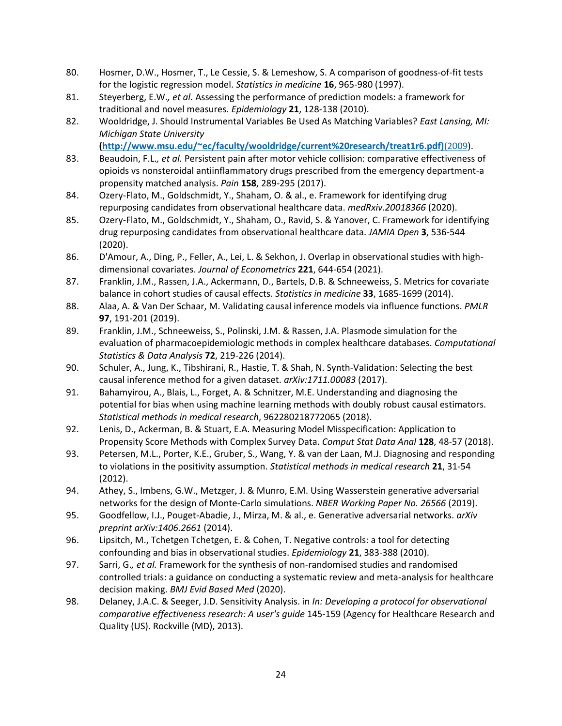- 80. Hosmer, D.W., Hosmer, T., Le Cessie, S. & Lemeshow, S. A comparison of goodness-of-fit tests for the logistic regression model. *Statistics in medicine* **16**, 965-980 (1997).
- 81. Steyerberg, E.W.*, et al.* Assessing the performance of prediction models: a framework for traditional and novel measures. *Epidemiology* **21**, 128-138 (2010).
- 82. Wooldridge, J. Should Instrumental Variables Be Used As Matching Variables? *East Lansing, MI: Michigan State University*

**[\(http://www.msu.edu/~ec/faculty/wooldridge/current%20research/treat1r6.pdf\)](http://www.msu.edu/~ec/faculty/wooldridge/current%20research/treat1r6.pdf)(2009)**(2009).

- 83. Beaudoin, F.L.*, et al.* Persistent pain after motor vehicle collision: comparative effectiveness of opioids vs nonsteroidal antiinflammatory drugs prescribed from the emergency department-a propensity matched analysis. *Pain* **158**, 289-295 (2017).
- 84. Ozery-Flato, M., Goldschmidt, Y., Shaham, O. & al., e. Framework for identifying drug repurposing candidates from observational healthcare data. *medRxiv.20018366* (2020).
- 85. Ozery-Flato, M., Goldschmidt, Y., Shaham, O., Ravid, S. & Yanover, C. Framework for identifying drug repurposing candidates from observational healthcare data. *JAMIA Open* **3**, 536-544 (2020).
- 86. D'Amour, A., Ding, P., Feller, A., Lei, L. & Sekhon, J. Overlap in observational studies with highdimensional covariates. *Journal of Econometrics* **221**, 644-654 (2021).
- 87. Franklin, J.M., Rassen, J.A., Ackermann, D., Bartels, D.B. & Schneeweiss, S. Metrics for covariate balance in cohort studies of causal effects. *Statistics in medicine* **33**, 1685-1699 (2014).
- 88. Alaa, A. & Van Der Schaar, M. Validating causal inference models via influence functions. *PMLR* **97**, 191-201 (2019).
- 89. Franklin, J.M., Schneeweiss, S., Polinski, J.M. & Rassen, J.A. Plasmode simulation for the evaluation of pharmacoepidemiologic methods in complex healthcare databases. *Computational Statistics & Data Analysis* **72**, 219-226 (2014).
- 90. Schuler, A., Jung, K., Tibshirani, R., Hastie, T. & Shah, N. Synth-Validation: Selecting the best causal inference method for a given dataset. *arXiv:1711.00083* (2017).
- 91. Bahamyirou, A., Blais, L., Forget, A. & Schnitzer, M.E. Understanding and diagnosing the potential for bias when using machine learning methods with doubly robust causal estimators. *Statistical methods in medical research*, 962280218772065 (2018).
- 92. Lenis, D., Ackerman, B. & Stuart, E.A. Measuring Model Misspecification: Application to Propensity Score Methods with Complex Survey Data. *Comput Stat Data Anal* **128**, 48-57 (2018).
- 93. Petersen, M.L., Porter, K.E., Gruber, S., Wang, Y. & van der Laan, M.J. Diagnosing and responding to violations in the positivity assumption. *Statistical methods in medical research* **21**, 31-54 (2012).
- 94. Athey, S., Imbens, G.W., Metzger, J. & Munro, E.M. Using Wasserstein generative adversarial networks for the design of Monte-Carlo simulations. *NBER Working Paper No. 26566* (2019).
- 95. Goodfellow, I.J., Pouget-Abadie, J., Mirza, M. & al., e. Generative adversarial networks. *arXiv preprint arXiv:1406.2661* (2014).
- 96. Lipsitch, M., Tchetgen Tchetgen, E. & Cohen, T. Negative controls: a tool for detecting confounding and bias in observational studies. *Epidemiology* **21**, 383-388 (2010).
- 97. Sarri, G.*, et al.* Framework for the synthesis of non-randomised studies and randomised controlled trials: a guidance on conducting a systematic review and meta-analysis for healthcare decision making. *BMJ Evid Based Med* (2020).
- 98. Delaney, J.A.C. & Seeger, J.D. Sensitivity Analysis. in *In: Developing a protocol for observational comparative effectiveness research: A user's guide* 145-159 (Agency for Healthcare Research and Quality (US). Rockville (MD), 2013).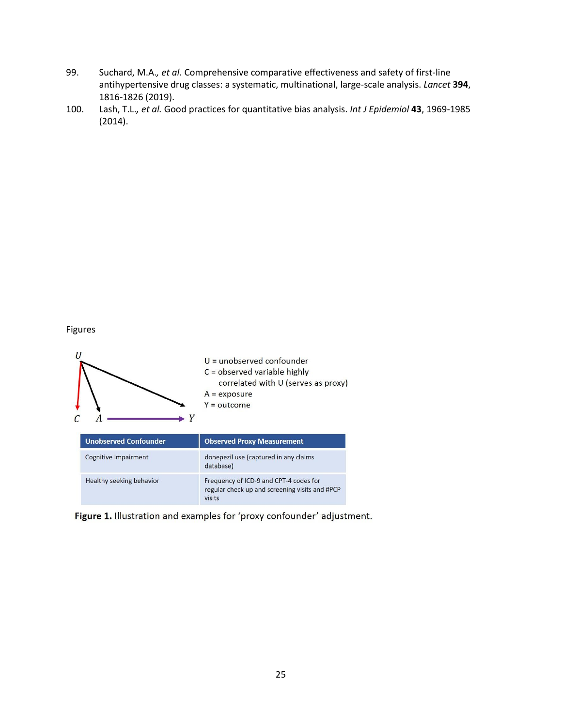- 99. Suchard, M.A.*, et al.* Comprehensive comparative effectiveness and safety of first-line antihypertensive drug classes: a systematic, multinational, large-scale analysis. *Lancet* **394**, 1816-1826 (2019).
- 100. Lash, T.L.*, et al.* Good practices for quantitative bias analysis. *Int J Epidemiol* **43**, 1969-1985 (2014).

Figures



Figure 1. Illustration and examples for 'proxy confounder' adjustment.